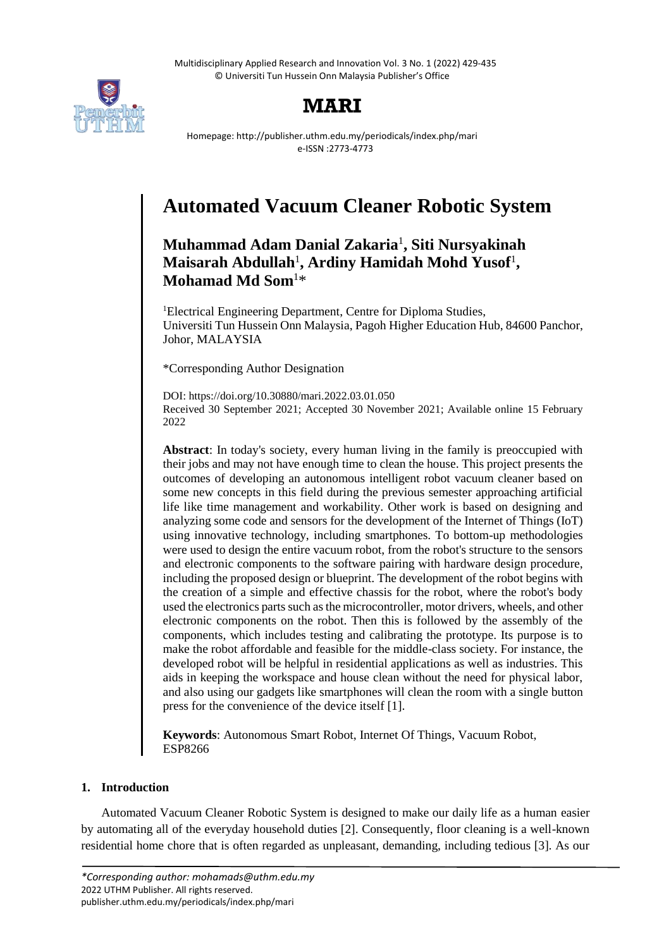

# **MARI**

Homepage: http://publisher.uthm.edu.my/periodicals/index.php/mari e-ISSN :2773-4773

# **Automated Vacuum Cleaner Robotic System**

# **Muhammad Adam Danial Zakaria**<sup>1</sup> **, Siti Nursyakinah Maisarah Abdullah**<sup>1</sup> **, Ardiny Hamidah Mohd Yusof**<sup>1</sup> **, Mohamad Md Som**<sup>1</sup>\*

<sup>1</sup>Electrical Engineering Department, Centre for Diploma Studies, Universiti Tun Hussein Onn Malaysia, Pagoh Higher Education Hub, 84600 Panchor, Johor, MALAYSIA

\*Corresponding Author Designation

DOI: https://doi.org/10.30880/mari.2022.03.01.050 Received 30 September 2021; Accepted 30 November 2021; Available online 15 February 2022

**Abstract**: In today's society, every human living in the family is preoccupied with their jobs and may not have enough time to clean the house. This project presents the outcomes of developing an autonomous intelligent robot vacuum cleaner based on some new concepts in this field during the previous semester approaching artificial life like time management and workability. Other work is based on designing and analyzing some code and sensors for the development of the Internet of Things (IoT) using innovative technology, including smartphones. To bottom-up methodologies were used to design the entire vacuum robot, from the robot's structure to the sensors and electronic components to the software pairing with hardware design procedure, including the proposed design or blueprint. The development of the robot begins with the creation of a simple and effective chassis for the robot, where the robot's body used the electronics parts such as the microcontroller, motor drivers, wheels, and other electronic components on the robot. Then this is followed by the assembly of the components, which includes testing and calibrating the prototype. Its purpose is to make the robot affordable and feasible for the middle-class society. For instance, the developed robot will be helpful in residential applications as well as industries. This aids in keeping the workspace and house clean without the need for physical labor, and also using our gadgets like smartphones will clean the room with a single button press for the convenience of the device itself [1].

**Keywords**: Autonomous Smart Robot, Internet Of Things, Vacuum Robot, ESP8266

# **1. Introduction**

Automated Vacuum Cleaner Robotic System is designed to make our daily life as a human easier by automating all of the everyday household duties [2]. Consequently, floor cleaning is a well-known residential home chore that is often regarded as unpleasant, demanding, including tedious [3]. As our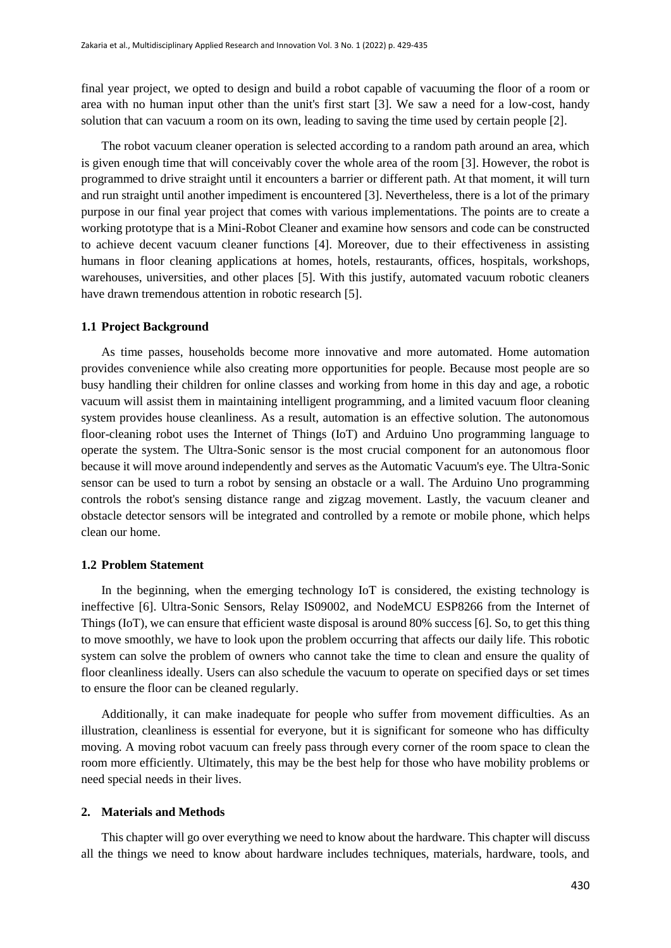final year project, we opted to design and build a robot capable of vacuuming the floor of a room or area with no human input other than the unit's first start [3]. We saw a need for a low-cost, handy solution that can vacuum a room on its own, leading to saving the time used by certain people [2].

The robot vacuum cleaner operation is selected according to a random path around an area, which is given enough time that will conceivably cover the whole area of the room [3]. However, the robot is programmed to drive straight until it encounters a barrier or different path. At that moment, it will turn and run straight until another impediment is encountered [3]. Nevertheless, there is a lot of the primary purpose in our final year project that comes with various implementations. The points are to create a working prototype that is a Mini-Robot Cleaner and examine how sensors and code can be constructed to achieve decent vacuum cleaner functions [4]. Moreover, due to their effectiveness in assisting humans in floor cleaning applications at homes, hotels, restaurants, offices, hospitals, workshops, warehouses, universities, and other places [5]. With this justify, automated vacuum robotic cleaners have drawn tremendous attention in robotic research [5].

#### **1.1 Project Background**

As time passes, households become more innovative and more automated. Home automation provides convenience while also creating more opportunities for people. Because most people are so busy handling their children for online classes and working from home in this day and age, a robotic vacuum will assist them in maintaining intelligent programming, and a limited vacuum floor cleaning system provides house cleanliness. As a result, automation is an effective solution. The autonomous floor-cleaning robot uses the Internet of Things (IoT) and Arduino Uno programming language to operate the system. The Ultra-Sonic sensor is the most crucial component for an autonomous floor because it will move around independently and serves as the Automatic Vacuum's eye. The Ultra-Sonic sensor can be used to turn a robot by sensing an obstacle or a wall. The Arduino Uno programming controls the robot's sensing distance range and zigzag movement. Lastly, the vacuum cleaner and obstacle detector sensors will be integrated and controlled by a remote or mobile phone, which helps clean our home.

#### **1.2 Problem Statement**

In the beginning, when the emerging technology IoT is considered, the existing technology is ineffective [6]. Ultra-Sonic Sensors, Relay IS09002, and NodeMCU ESP8266 from the Internet of Things (IoT), we can ensure that efficient waste disposal is around 80% success [6]. So, to get this thing to move smoothly, we have to look upon the problem occurring that affects our daily life. This robotic system can solve the problem of owners who cannot take the time to clean and ensure the quality of floor cleanliness ideally. Users can also schedule the vacuum to operate on specified days or set times to ensure the floor can be cleaned regularly.

Additionally, it can make inadequate for people who suffer from movement difficulties. As an illustration, cleanliness is essential for everyone, but it is significant for someone who has difficulty moving. A moving robot vacuum can freely pass through every corner of the room space to clean the room more efficiently. Ultimately, this may be the best help for those who have mobility problems or need special needs in their lives.

#### **2. Materials and Methods**

This chapter will go over everything we need to know about the hardware. This chapter will discuss all the things we need to know about hardware includes techniques, materials, hardware, tools, and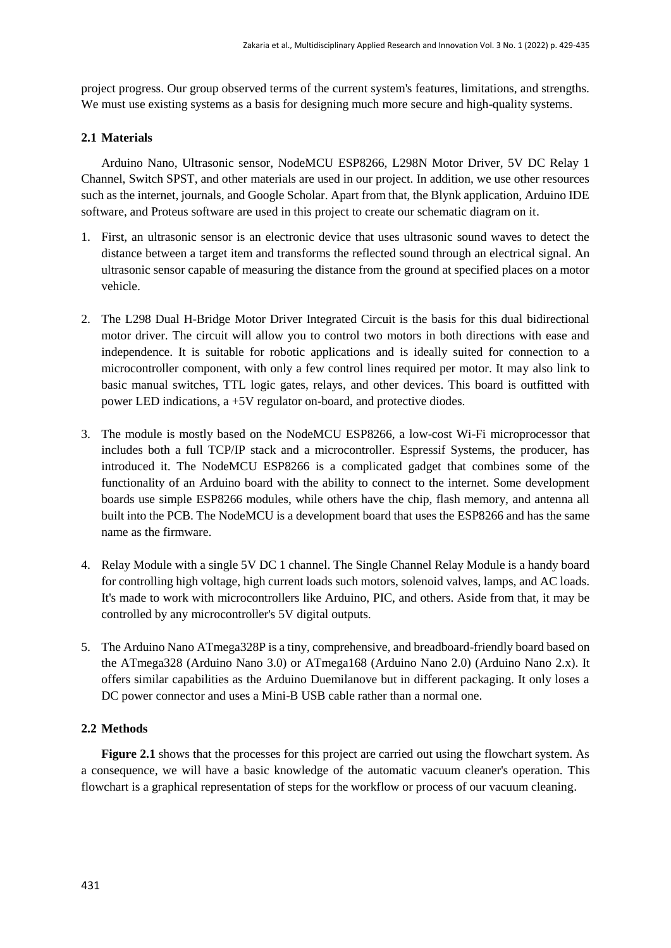project progress. Our group observed terms of the current system's features, limitations, and strengths. We must use existing systems as a basis for designing much more secure and high-quality systems.

### **2.1 Materials**

Arduino Nano, Ultrasonic sensor, NodeMCU ESP8266, L298N Motor Driver, 5V DC Relay 1 Channel, Switch SPST, and other materials are used in our project. In addition, we use other resources such as the internet, journals, and Google Scholar. Apart from that, the Blynk application, Arduino IDE software, and Proteus software are used in this project to create our schematic diagram on it.

- 1. First, an ultrasonic sensor is an electronic device that uses ultrasonic sound waves to detect the distance between a target item and transforms the reflected sound through an electrical signal. An ultrasonic sensor capable of measuring the distance from the ground at specified places on a motor vehicle.
- 2. The L298 Dual H-Bridge Motor Driver Integrated Circuit is the basis for this dual bidirectional motor driver. The circuit will allow you to control two motors in both directions with ease and independence. It is suitable for robotic applications and is ideally suited for connection to a microcontroller component, with only a few control lines required per motor. It may also link to basic manual switches, TTL logic gates, relays, and other devices. This board is outfitted with power LED indications, a +5V regulator on-board, and protective diodes.
- 3. The module is mostly based on the NodeMCU ESP8266, a low-cost Wi-Fi microprocessor that includes both a full TCP/IP stack and a microcontroller. Espressif Systems, the producer, has introduced it. The NodeMCU ESP8266 is a complicated gadget that combines some of the functionality of an Arduino board with the ability to connect to the internet. Some development boards use simple ESP8266 modules, while others have the chip, flash memory, and antenna all built into the PCB. The NodeMCU is a development board that uses the ESP8266 and has the same name as the firmware.
- 4. Relay Module with a single 5V DC 1 channel. The Single Channel Relay Module is a handy board for controlling high voltage, high current loads such motors, solenoid valves, lamps, and AC loads. It's made to work with microcontrollers like Arduino, PIC, and others. Aside from that, it may be controlled by any microcontroller's 5V digital outputs.
- 5. The Arduino Nano ATmega328P is a tiny, comprehensive, and breadboard-friendly board based on the ATmega328 (Arduino Nano 3.0) or ATmega168 (Arduino Nano 2.0) (Arduino Nano 2.x). It offers similar capabilities as the Arduino Duemilanove but in different packaging. It only loses a DC power connector and uses a Mini-B USB cable rather than a normal one.

#### **2.2 Methods**

**Figure 2.1** shows that the processes for this project are carried out using the flowchart system. As a consequence, we will have a basic knowledge of the automatic vacuum cleaner's operation. This flowchart is a graphical representation of steps for the workflow or process of our vacuum cleaning.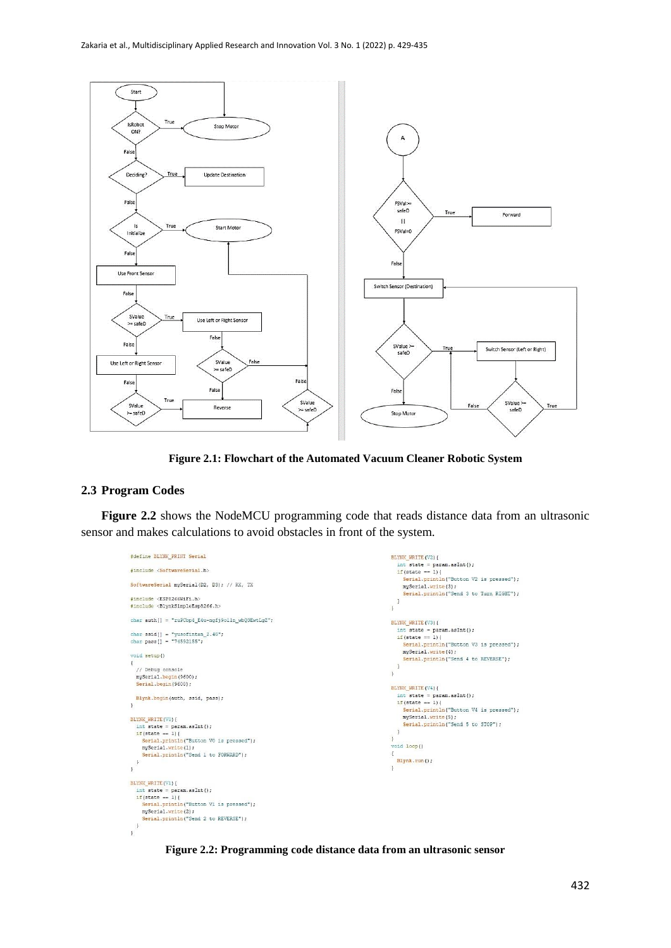

**Figure 2.1: Flowchart of the Automated Vacuum Cleaner Robotic System**

### **2.3 Program Codes**

**Figure 2.2** shows the NodeMCU programming code that reads distance data from an ultrasonic sensor and makes calculations to avoid obstacles in front of the system.

```
#define BLYNK_PRINT Serial
                                                                                                                                                                   BLYNK_WRITE(V2){
                                                                                                                                                                      int state = param.asInt();<br>if(state == param.asInt();<br>if(state == 1){<br>Serial.println("Button V2 is pressed");
 #include <SoftwareSerial.h>
 SoftwareSerial mySerial(D2, D3); // RX, TX
                                                                                                                                                                           mySerial.write(3);
                                                                                                                                                                           Serial.println("Send 3 to Turn RIGHT");
 #include <ESP8266WiFi.h>
                                                                                                                                                                      \mathbf{r}#include <BlynkSimpleEsp8266.h>
                                                                                                                                                                   \overline{1}char auth[] = "ruPCbp4_E4u-ngfj9olln_wbQ3EwtLgZ";
                                                                                                                                                                   BLYNK_WRITE(V3){
                                                                                                                                                                      LYNK_WRITE(V3){<br>int state = param.asInt();<br>if(state == 1){
 char ssid[] = "yusofintan_2.4G";<br>char pass[] = "74592155";
                                                                                                                                                                          Serial.println("Button V3 is pressed");<br>mySerial.write(4);
 void setup()
                                                                                                                                                                           Serial.println("Send 4 to REVERSE");
                                                                                                                                                                      \mathbf{r}%// Debug console<br>mySerial.begin(9600);<br>Serial.begin(9600);
                                                                                                                                                                   \overline{1}BLYNK WRITE (V4) {
                                                                                                                                                                      int state = param.asInt();<br>
if (state == 1)Blynk.begin(auth, ssid, pass);
 \overline{1}Serial.println("Button V4 is pressed");
                                                                                                                                                                          mySerial.write(5);<br>Serial.println("Send 5 to STOP");
\begin{aligned} &\texttt{BLYNK\_WRITE}\left(\texttt{VO}\right) \{ \\ &\texttt{int state = }\texttt{param}.\texttt{asInt}\right)\text{;} \\ &\texttt{if}\left(\texttt{state == 1}\right) \{ \\ &\texttt{Serial.println("Button V0 is pressed");}\end{aligned}\mathbf{a}\mathbf{1}oid loop()
       mySerial.write(1);<br>Serial.println("Send 1 to FORWARD");
                                                                                                                                                                   \bar{A}Blynk.run():
   \,\bar{1}\mathbf{a}BLYNK_WRITE(V1) {<br>
int state = param.asInt();<br>
if(state = 1) {<br>
Serial.println("Button V1 is pressed");<br>
Serial.write(2);<br>
Serial.println("Send 2 to REVERSE");
   \Box\bar{1}
```
**Figure 2.2: Programming code distance data from an ultrasonic sensor**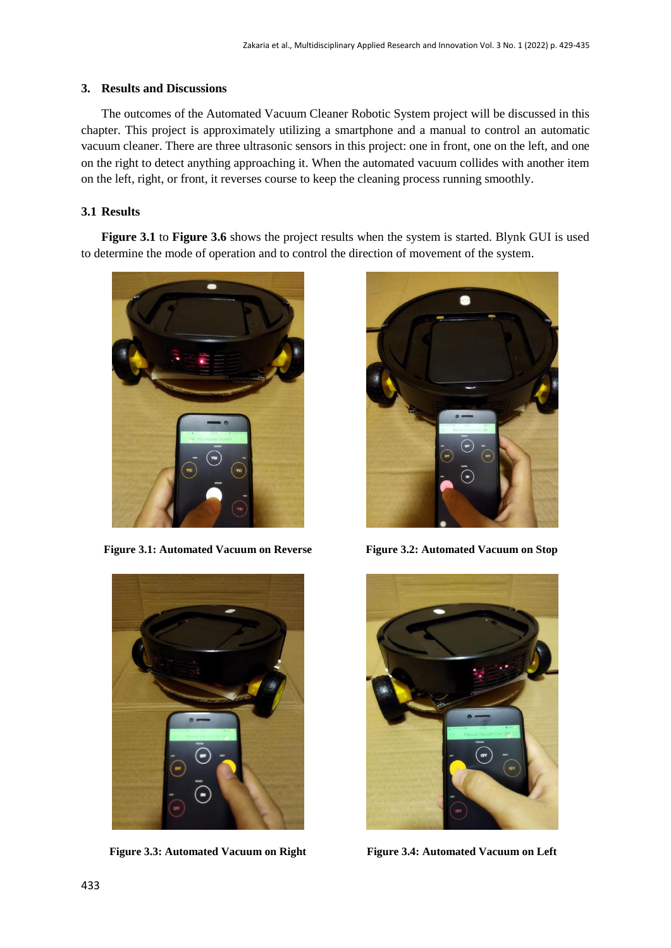#### **3. Results and Discussions**

The outcomes of the Automated Vacuum Cleaner Robotic System project will be discussed in this chapter. This project is approximately utilizing a smartphone and a manual to control an automatic vacuum cleaner. There are three ultrasonic sensors in this project: one in front, one on the left, and one on the right to detect anything approaching it. When the automated vacuum collides with another item on the left, right, or front, it reverses course to keep the cleaning process running smoothly.

# **3.1 Results**

**Figure 3.1** to **Figure 3.6** shows the project results when the system is started. Blynk GUI is used to determine the mode of operation and to control the direction of movement of the system.



**Figure 3.1: Automated Vacuum on Reverse Figure 3.2: Automated Vacuum on Stop**



**Figure 3.3: Automated Vacuum on Right Figure 3.4: Automated Vacuum on Left**



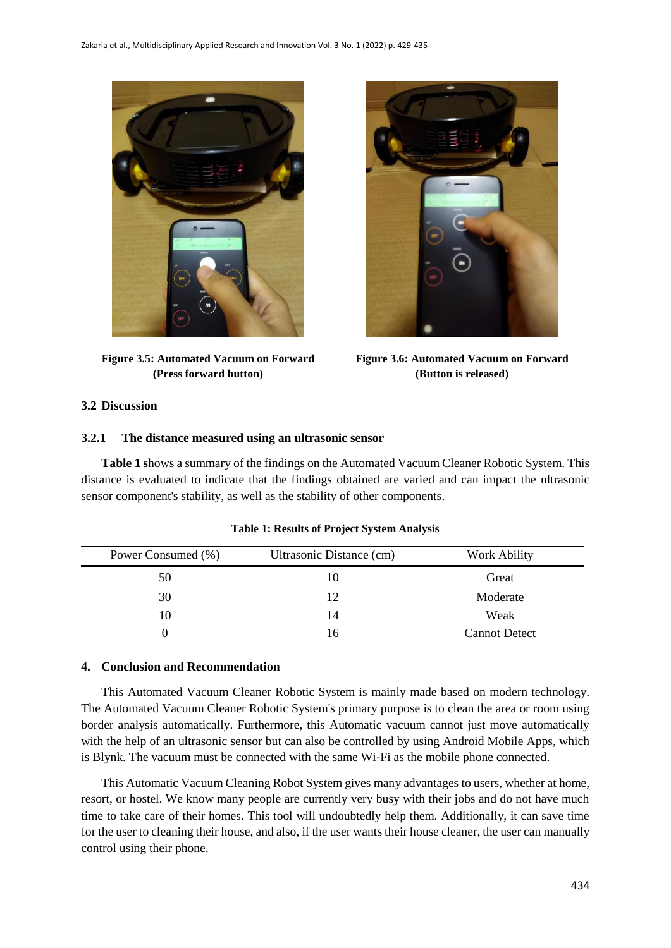

**Figure 3.5: Automated Vacuum on Forward (Press forward button)**



**Figure 3.6: Automated Vacuum on Forward (Button is released)**

# **3.2 Discussion**

#### **3.2.1 The distance measured using an ultrasonic sensor**

**Table 1 s**hows a summary of the findings on the Automated Vacuum Cleaner Robotic System. This distance is evaluated to indicate that the findings obtained are varied and can impact the ultrasonic sensor component's stability, as well as the stability of other components.

| Power Consumed (%) | Ultrasonic Distance (cm) | Work Ability         |  |
|--------------------|--------------------------|----------------------|--|
| 50                 |                          | Great                |  |
| 30                 | 12                       | Moderate             |  |
| 10                 | 14                       | Weak                 |  |
|                    | 16                       | <b>Cannot Detect</b> |  |

**Table 1: Results of Project System Analysis**

### **4. Conclusion and Recommendation**

This Automated Vacuum Cleaner Robotic System is mainly made based on modern technology. The Automated Vacuum Cleaner Robotic System's primary purpose is to clean the area or room using border analysis automatically. Furthermore, this Automatic vacuum cannot just move automatically with the help of an ultrasonic sensor but can also be controlled by using Android Mobile Apps, which is Blynk. The vacuum must be connected with the same Wi-Fi as the mobile phone connected.

This Automatic Vacuum Cleaning Robot System gives many advantages to users, whether at home, resort, or hostel. We know many people are currently very busy with their jobs and do not have much time to take care of their homes. This tool will undoubtedly help them. Additionally, it can save time for the user to cleaning their house, and also, if the user wants their house cleaner, the user can manually control using their phone.